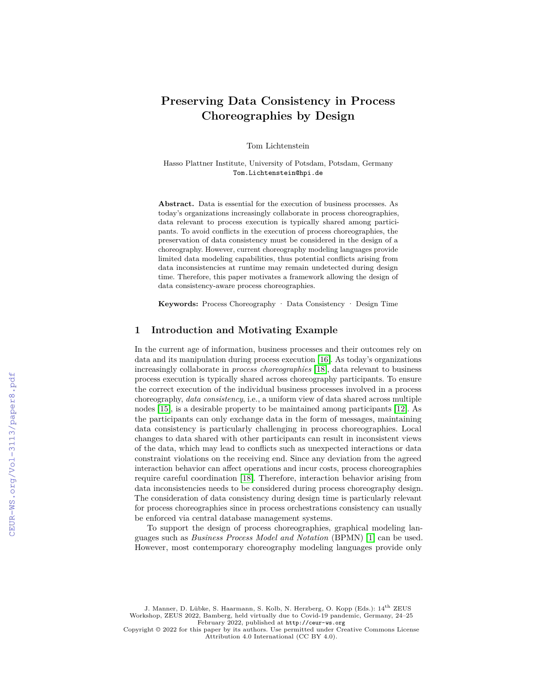# **Preserving Data Consistency in Process Choreographies by Design**

Tom Lichtenstein

Hasso Plattner Institute, University of Potsdam, Potsdam, Germany Tom.Lichtenstein@hpi.de

**Abstract.** Data is essential for the execution of business processes. As today's organizations increasingly collaborate in process choreographies, data relevant to process execution is typically shared among participants. To avoid conflicts in the execution of process choreographies, the preservation of data consistency must be considered in the design of a choreography. However, current choreography modeling languages provide limited data modeling capabilities, thus potential conflicts arising from data inconsistencies at runtime may remain undetected during design time. Therefore, this paper motivates a framework allowing the design of data consistency-aware process choreographies.

**Keywords:** Process Choreography · Data Consistency · Design Time

#### **1 Introduction and Motivating Example**

In the current age of information, business processes and their outcomes rely on data and its manipulation during process execution [16]. As today's organizations increasingly collaborate in *process choreographies* [18], data relevant to business process execution is typically shared across choreography participants. To ensure the correct execution of the individual business processes involved in a process choreography, *data consistency*, i.e., a uniform view of data shared across multiple nodes [15], is a desirable property to be maintained among participants [12]. As the participants can only exchange data in the form of messages, maintaining data consistency is particularly challenging in process choreographies. Local changes to data shared with other participants can result in inconsistent views of the data, which may lead to conflicts such as unexpected interactions or data constraint violations on the receiving end. Since any deviation from the agreed interaction behavior can affect operations and incur costs, process choreographies require careful coordination [18]. Therefore, interaction behavior arising from data inconsistencies needs to be considered during process choreography design. The consideration of data consistency during design time is particularly relevant for process choreographies since in process orchestrations consistency can usually be enforced via central database management systems.

To support the design of process choreographies, graphical modeling languages such as *Business Process Model and Notation* (BPMN) [1] can be used. However, most contemporary choreography modeling languages provide only

J. Manner, D. Lübke, S. Haarmann, S. Kolb, N. Herzberg, O. Kopp (Eds.):  $14^{\rm th}$  ZEUS Workshop, ZEUS 2022, Bamberg, held virtually due to Covid-19 pandemic, Germany, 24–25 February 2022, published at <http://ceur-ws.org>

Copyright © 2022 for this paper by its authors. Use permitted under Creative Commons License Attribution 4.0 International (CC BY 4.0).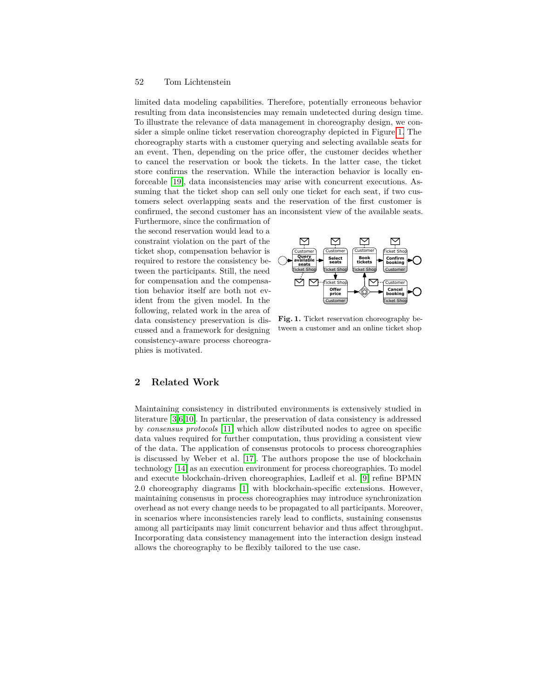### 52 Tom Lichtenstein

limited data modeling capabilities. Therefore, potentially erroneous behavior resulting from data inconsistencies may remain undetected during design time. To illustrate the relevance of data management in choreography design, we consider a simple online ticket reservation choreography depicted in Figure 1. The choreography starts with a customer querying and selecting available seats for an event. Then, depending on the price offer, the customer decides whether to cancel the reservation or book the tickets. In the latter case, the ticket store confirms the reservation. While the interaction behavior is locally enforceable [19], data inconsistencies may arise with concurrent executions. Assuming that the ticket shop can sell only one ticket for each seat, if two customers select overlapping seats and the reservation of the first customer is confirmed, the second customer has an inconsistent view of the available seats.

Furthermore, since the confirmation of the second reservation would lead to a constraint violation on the part of the ticket shop, compensation behavior is required to restore the consistency between the participants. Still, the need for compensation and the compensation behavior itself are both not evident from the given model. In the following, related work in the area of data consistency preservation is discussed and a framework for designing consistency-aware process choreographies is motivated.



**Fig. 1.** Ticket reservation choreography between a customer and an online ticket shop

## **2 Related Work**

Maintaining consistency in distributed environments is extensively studied in literature [3,6,10]. In particular, the preservation of data consistency is addressed by *consensus protocols* [11] which allow distributed nodes to agree on specific data values required for further computation, thus providing a consistent view of the data. The application of consensus protocols to process choreographies is discussed by Weber et al. [17]. The authors propose the use of blockchain technology [14] as an execution environment for process choreographies. To model and execute blockchain-driven choreographies, Ladleif et al. [9] refine BPMN 2.0 choreography diagrams [1] with blockchain-specific extensions. However, maintaining consensus in process choreographies may introduce synchronization overhead as not every change needs to be propagated to all participants. Moreover, in scenarios where inconsistencies rarely lead to conflicts, sustaining consensus among all participants may limit concurrent behavior and thus affect throughput. Incorporating data consistency management into the interaction design instead allows the choreography to be flexibly tailored to the use case.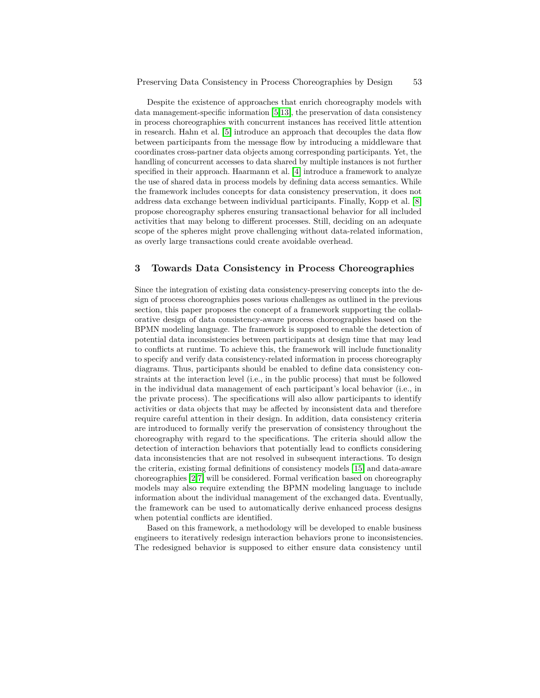Despite the existence of approaches that enrich choreography models with data management-specific information [5,13], the preservation of data consistency in process choreographies with concurrent instances has received little attention in research. Hahn et al. [5] introduce an approach that decouples the data flow between participants from the message flow by introducing a middleware that coordinates cross-partner data objects among corresponding participants. Yet, the handling of concurrent accesses to data shared by multiple instances is not further specified in their approach. Haarmann et al. [4] introduce a framework to analyze the use of shared data in process models by defining data access semantics. While the framework includes concepts for data consistency preservation, it does not address data exchange between individual participants. Finally, Kopp et al. [8] propose choreography spheres ensuring transactional behavior for all included activities that may belong to different processes. Still, deciding on an adequate scope of the spheres might prove challenging without data-related information, as overly large transactions could create avoidable overhead.

## **3 Towards Data Consistency in Process Choreographies**

Since the integration of existing data consistency-preserving concepts into the design of process choreographies poses various challenges as outlined in the previous section, this paper proposes the concept of a framework supporting the collaborative design of data consistency-aware process choreographies based on the BPMN modeling language. The framework is supposed to enable the detection of potential data inconsistencies between participants at design time that may lead to conflicts at runtime. To achieve this, the framework will include functionality to specify and verify data consistency-related information in process choreography diagrams. Thus, participants should be enabled to define data consistency constraints at the interaction level (i.e., in the public process) that must be followed in the individual data management of each participant's local behavior (i.e., in the private process). The specifications will also allow participants to identify activities or data objects that may be affected by inconsistent data and therefore require careful attention in their design. In addition, data consistency criteria are introduced to formally verify the preservation of consistency throughout the choreography with regard to the specifications. The criteria should allow the detection of interaction behaviors that potentially lead to conflicts considering data inconsistencies that are not resolved in subsequent interactions. To design the criteria, existing formal definitions of consistency models [15] and data-aware choreographies [2,7] will be considered. Formal verification based on choreography models may also require extending the BPMN modeling language to include information about the individual management of the exchanged data. Eventually, the framework can be used to automatically derive enhanced process designs when potential conflicts are identified.

Based on this framework, a methodology will be developed to enable business engineers to iteratively redesign interaction behaviors prone to inconsistencies. The redesigned behavior is supposed to either ensure data consistency until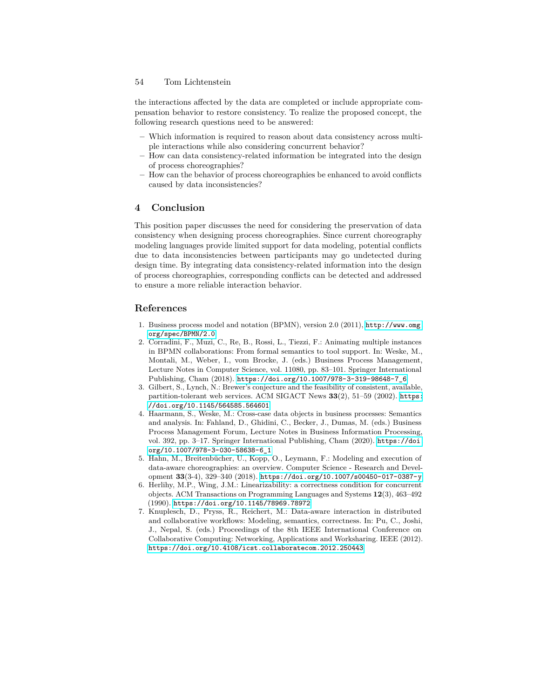#### 54 Tom Lichtenstein

the interactions affected by the data are completed or include appropriate compensation behavior to restore consistency. To realize the proposed concept, the following research questions need to be answered:

- **–** Which information is required to reason about data consistency across multiple interactions while also considering concurrent behavior?
- **–** How can data consistency-related information be integrated into the design of process choreographies?
- **–** How can the behavior of process choreographies be enhanced to avoid conflicts caused by data inconsistencies?

# **4 Conclusion**

This position paper discusses the need for considering the preservation of data consistency when designing process choreographies. Since current choreography modeling languages provide limited support for data modeling, potential conflicts due to data inconsistencies between participants may go undetected during design time. By integrating data consistency-related information into the design of process choreographies, corresponding conflicts can be detected and addressed to ensure a more reliable interaction behavior.

## **References**

- 1. Business process model and notation (BPMN), version 2.0 (2011), [http://www.omg.](http://www.omg.org/spec/BPMN/2.0) [org/spec/BPMN/2.0](http://www.omg.org/spec/BPMN/2.0)
- 2. Corradini, F., Muzi, C., Re, B., Rossi, L., Tiezzi, F.: Animating multiple instances in BPMN collaborations: From formal semantics to tool support. In: Weske, M., Montali, M., Weber, I., vom Brocke, J. (eds.) Business Process Management, Lecture Notes in Computer Science, vol. 11080, pp. 83–101. Springer International Publishing, Cham (2018). [https://doi.org/10.1007/978-3-319-98648-7\\_6](https://doi.org/10.1007/978-3-319-98648-7_6)
- 3. Gilbert, S., Lynch, N.: Brewer's conjecture and the feasibility of consistent, available, partition-tolerant web services. ACM SIGACT News **33**(2), 51–59 (2002). [https:](https://doi.org/10.1145/564585.564601) [//doi.org/10.1145/564585.564601](https://doi.org/10.1145/564585.564601)
- 4. Haarmann, S., Weske, M.: Cross-case data objects in business processes: Semantics and analysis. In: Fahland, D., Ghidini, C., Becker, J., Dumas, M. (eds.) Business Process Management Forum, Lecture Notes in Business Information Processing, vol. 392, pp. 3–17. Springer International Publishing, Cham (2020). [https://doi.](https://doi.org/10.1007/978-3-030-58638-6_1) [org/10.1007/978-3-030-58638-6\\_1](https://doi.org/10.1007/978-3-030-58638-6_1)
- 5. Hahn, M., Breitenbücher, U., Kopp, O., Leymann, F.: Modeling and execution of data-aware choreographies: an overview. Computer Science - Research and Development **33**(3-4), 329–340 (2018). <https://doi.org/10.1007/s00450-017-0387-y>
- 6. Herlihy, M.P., Wing, J.M.: Linearizability: a correctness condition for concurrent objects. ACM Transactions on Programming Languages and Systems **12**(3), 463–492 (1990). <https://doi.org/10.1145/78969.78972>
- 7. Knuplesch, D., Pryss, R., Reichert, M.: Data-aware interaction in distributed and collaborative workflows: Modeling, semantics, correctness. In: Pu, C., Joshi, J., Nepal, S. (eds.) Proceedings of the 8th IEEE International Conference on Collaborative Computing: Networking, Applications and Worksharing. IEEE (2012). <https://doi.org/10.4108/icst.collaboratecom.2012.250443>